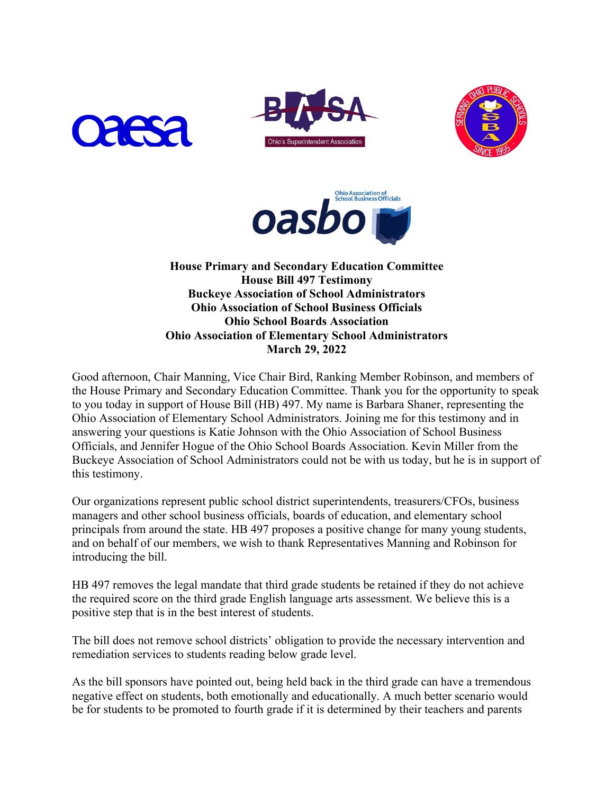







**House Primary and Secondary Education Committee House Bill 497 Testimony Buckeye Association of School Administrators Ohio Association of School Business Officials Ohio School Boards Association Ohio Association of Elementary School Administrators March 29, 2022**

Good afternoon, Chair Manning, Vice Chair Bird, Ranking Member Robinson, and members of the House Primary and Secondary Education Committee. Thank you for the opportunity to speak to you today in support of House Bill (HB) 497. My name is Barbara Shaner, representing the Ohio Association of Elementary School Administrators. Joining me for this testimony and in answering your questions is Katie Johnson with the Ohio Association of School Business Officials, and Jennifer Hogue of the Ohio School Boards Association. Kevin Miller from the Buckeye Association of School Administrators could not be with us today, but he is in support of this testimony.

Our organizations represent public school district superintendents, treasurers/CFOs, business managers and other school business officials, boards of education, and elementary school principals from around the state. HB 497 proposes a positive change for many young students, and on behalf of our members, we wish to thank Representatives Manning and Robinson for introducing the bill.

HB 497 removes the legal mandate that third grade students be retained if they do not achieve the required score on the third grade English language arts assessment. We believe this is a positive step that is in the best interest of students.

The bill does not remove school districts' obligation to provide the necessary intervention and remediation services to students reading below grade level.

As the bill sponsors have pointed out, being held back in the third grade can have a tremendous negative effect on students, both emotionally and educationally. A much better scenario would be for students to be promoted to fourth grade if it is determined by their teachers and parents